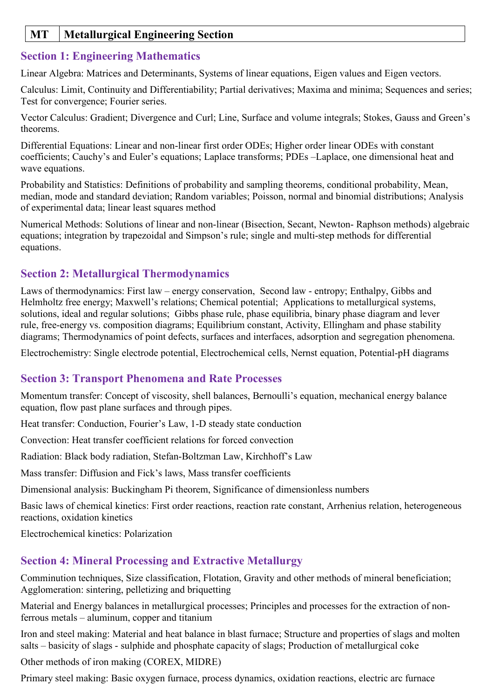## **MT Metallurgical Engineering Section**

## **Section 1: Engineering Mathematics**

Linear Algebra: Matrices and Determinants, Systems of linear equations, Eigen values and Eigen vectors.

Calculus: Limit, Continuity and Differentiability; Partial derivatives; Maxima and minima; Sequences and series; Test for convergence; Fourier series.

Vector Calculus: Gradient; Divergence and Curl; Line, Surface and volume integrals; Stokes, Gauss and Green's theorems.

Differential Equations: Linear and non-linear first order ODEs; Higher order linear ODEs with constant coefficients; Cauchy's and Euler's equations; Laplace transforms; PDEs –Laplace, one dimensional heat and wave equations.

Probability and Statistics: Definitions of probability and sampling theorems, conditional probability, Mean, median, mode and standard deviation; Random variables; Poisson, normal and binomial distributions; Analysis of experimental data; linear least squares method

Numerical Methods: Solutions of linear and non-linear (Bisection, Secant, Newton- Raphson methods) algebraic equations; integration by trapezoidal and Simpson's rule; single and multi-step methods for differential equations.

## **Section 2: Metallurgical Thermodynamics**

Laws of thermodynamics: First law – energy conservation, Second law - entropy; Enthalpy, Gibbs and Helmholtz free energy; Maxwell's relations; Chemical potential; Applications to metallurgical systems, solutions, ideal and regular solutions; Gibbs phase rule, phase equilibria, binary phase diagram and lever rule, free-energy vs. composition diagrams; Equilibrium constant, Activity, Ellingham and phase stability diagrams; Thermodynamics of point defects, surfaces and interfaces, adsorption and segregation phenomena.

Electrochemistry: Single electrode potential, Electrochemical cells, Nernst equation, Potential-pH diagrams

#### **Section 3: Transport Phenomena and Rate Processes**

Momentum transfer: Concept of viscosity, shell balances, Bernoulli's equation, mechanical energy balance equation, flow past plane surfaces and through pipes.

Heat transfer: Conduction, Fourier's Law, 1-D steady state conduction

Convection: Heat transfer coefficient relations for forced convection

Radiation: Black body radiation, Stefan-Boltzman Law, Kirchhoff's Law

Mass transfer: Diffusion and Fick's laws, Mass transfer coefficients

Dimensional analysis: Buckingham Pi theorem, Significance of dimensionless numbers

Basic laws of chemical kinetics: First order reactions, reaction rate constant, Arrhenius relation, heterogeneous reactions, oxidation kinetics

Electrochemical kinetics: Polarization

#### **Section 4: Mineral Processing and Extractive Metallurgy**

Comminution techniques, Size classification, Flotation, Gravity and other methods of mineral beneficiation; Agglomeration: sintering, pelletizing and briquetting

Material and Energy balances in metallurgical processes; Principles and processes for the extraction of nonferrous metals – aluminum, copper and titanium

Iron and steel making: Material and heat balance in blast furnace; Structure and properties of slags and molten salts – basicity of slags - sulphide and phosphate capacity of slags; Production of metallurgical coke

Other methods of iron making (COREX, MIDRE)

Primary steel making: Basic oxygen furnace, process dynamics, oxidation reactions, electric arc furnace